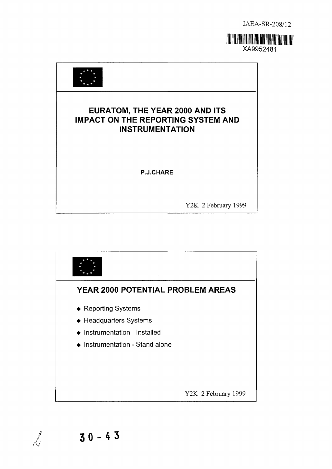IAEA-SR-208/12

XA9952481





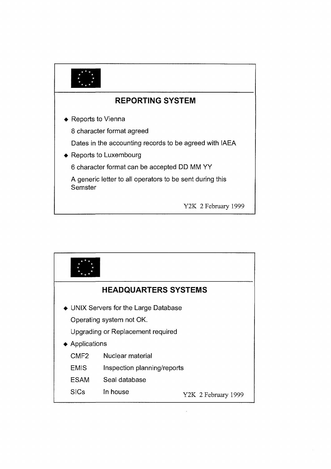

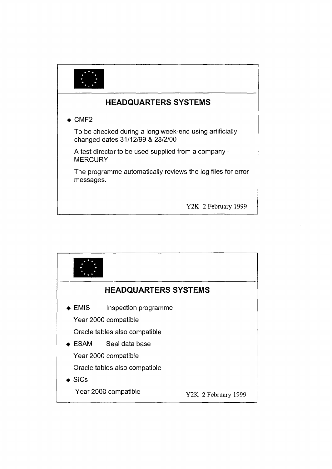

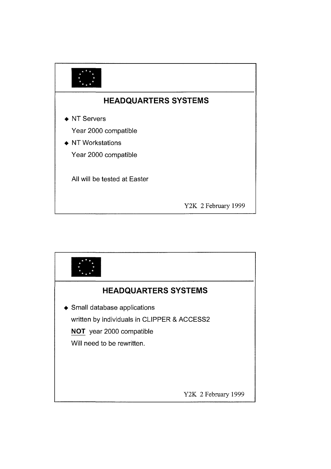

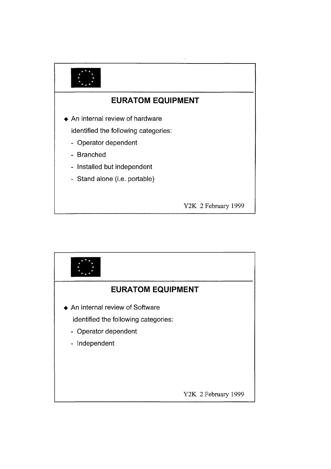

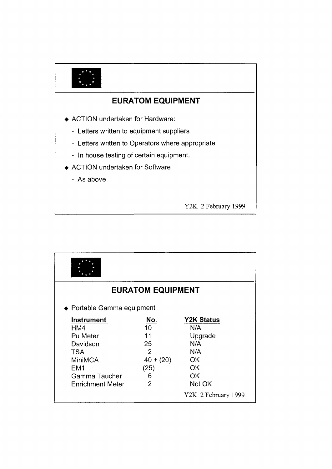

| <b>EURATOM EQUIPMENT</b>   |             |                     |  |  |
|----------------------------|-------------|---------------------|--|--|
| ◆ Portable Gamma equipment |             |                     |  |  |
| <b>Instrument</b>          | No.         | <b>Y2K Status</b>   |  |  |
| HM4                        | 10.         | N/A                 |  |  |
| Pu Meter                   | 11          | Upgrade             |  |  |
| Davidson                   | 25          | N/A                 |  |  |
| <b>TSA</b>                 | 2           | N/A                 |  |  |
| MiniMCA                    | $40 + (20)$ | OK                  |  |  |
| EM <sub>1</sub>            | (25)        | OK                  |  |  |
| Gamma Taucher              | 6           | OK                  |  |  |
| <b>Enrichment Meter</b>    | 2           | Not OK              |  |  |
|                            |             | Y2K 2 February 1999 |  |  |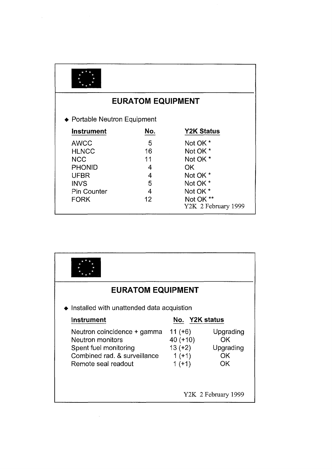| <b>EURATOM EQUIPMENT</b> |                                  |  |  |  |
|--------------------------|----------------------------------|--|--|--|
|                          |                                  |  |  |  |
| No.                      | <b>Y2K Status</b>                |  |  |  |
| 5                        | Not OK <sup>*</sup>              |  |  |  |
| 16                       | Not OK <sup>*</sup>              |  |  |  |
| 11                       | Not OK <sup>*</sup>              |  |  |  |
| 4                        | <b>OK</b>                        |  |  |  |
| 4                        | Not OK <sup>*</sup>              |  |  |  |
| 5                        | Not OK <sup>*</sup>              |  |  |  |
| 4                        | Not OK <sup>*</sup>              |  |  |  |
| $12 \overline{ }$        | Not OK **<br>Y2K 2 February 1999 |  |  |  |
|                          | ◆ Portable Neutron Equipment     |  |  |  |

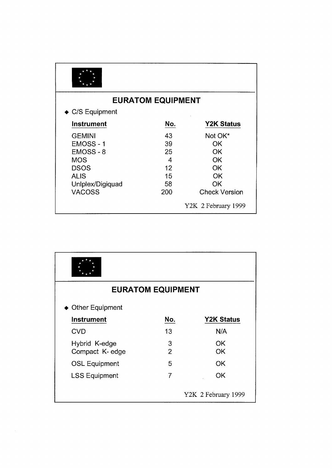| <b>EURATOM EQUIPMENT</b>  |     |                      |  |  |
|---------------------------|-----|----------------------|--|--|
| $\triangle$ C/S Equipment |     |                      |  |  |
| Instrument                | No. | Y2K Status           |  |  |
| <b>GEMINI</b>             | 43  | Not OK*              |  |  |
| EMOSS-1                   | 39  | OK                   |  |  |
| EMOSS-8                   | 25  | OK                   |  |  |
| <b>MOS</b>                | 4   | OK                   |  |  |
| <b>DSOS</b>               | 12  | OK                   |  |  |
| <b>ALIS</b>               | 15  | <b>OK</b>            |  |  |
| UnIplex/Digiquad          | 58  | OK                   |  |  |
| <b>VACOSS</b>             | 200 | <b>Check Version</b> |  |  |
|                           |     | Y2K 2 February 1999  |  |  |

| <b>EURATOM EQUIPMENT</b>        |        |                     |  |  |
|---------------------------------|--------|---------------------|--|--|
| $\bullet$ Other Equipment       |        |                     |  |  |
| <b>Instrument</b>               | No.    | <b>Y2K Status</b>   |  |  |
| <b>CVD</b>                      | 13     | N/A                 |  |  |
| Hybrid K-edge<br>Compact K-edge | 3<br>2 | OK<br>OK            |  |  |
| <b>OSL Equipment</b>            | 5      | OK                  |  |  |
| <b>LSS Equipment</b>            | 7      | OK                  |  |  |
|                                 |        | Y2K 2 February 1999 |  |  |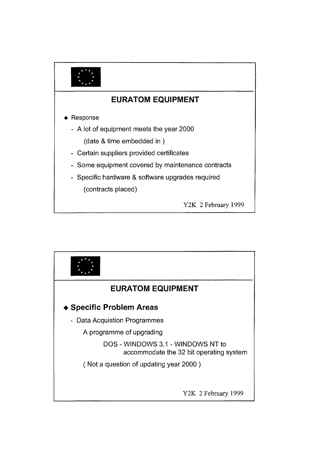